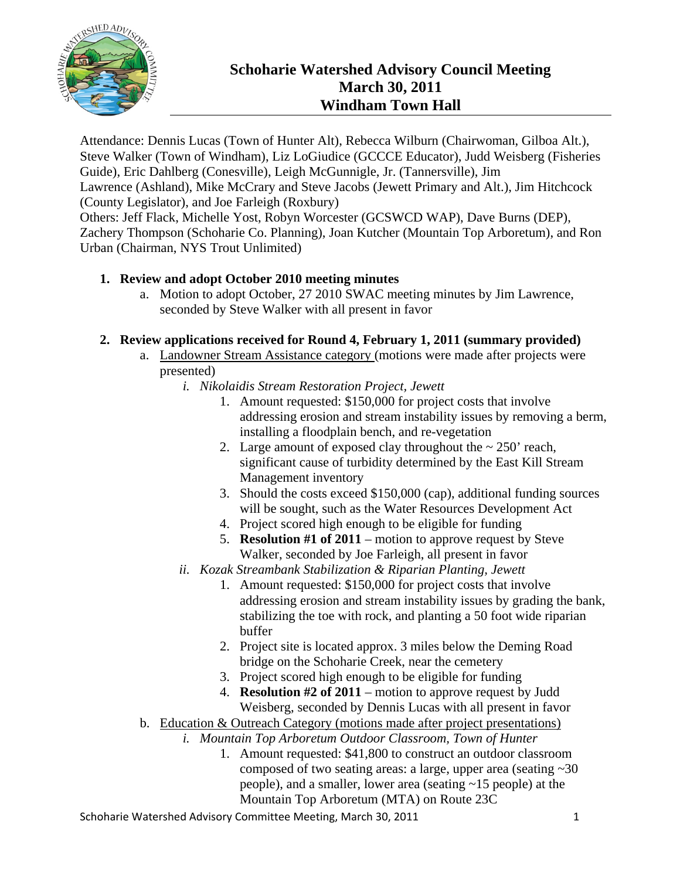

# **Schoharie Watershed Advisory Council Meeting March 30, 2011 Windham Town Hall**

Attendance: Dennis Lucas (Town of Hunter Alt), Rebecca Wilburn (Chairwoman, Gilboa Alt.), Steve Walker (Town of Windham), Liz LoGiudice (GCCCE Educator), Judd Weisberg (Fisheries Guide), Eric Dahlberg (Conesville), Leigh McGunnigle, Jr. (Tannersville), Jim Lawrence (Ashland), Mike McCrary and Steve Jacobs (Jewett Primary and Alt.), Jim Hitchcock (County Legislator), and Joe Farleigh (Roxbury)

Others: Jeff Flack, Michelle Yost, Robyn Worcester (GCSWCD WAP), Dave Burns (DEP), Zachery Thompson (Schoharie Co. Planning), Joan Kutcher (Mountain Top Arboretum), and Ron Urban (Chairman, NYS Trout Unlimited)

# **1. Review and adopt October 2010 meeting minutes**

a. Motion to adopt October, 27 2010 SWAC meeting minutes by Jim Lawrence, seconded by Steve Walker with all present in favor

#### **2. Review applications received for Round 4, February 1, 2011 (summary provided)**

- a. Landowner Stream Assistance category (motions were made after projects were presented)
	- *i. Nikolaidis Stream Restoration Project, Jewett* 
		- 1. Amount requested: \$150,000 for project costs that involve addressing erosion and stream instability issues by removing a berm, installing a floodplain bench, and re-vegetation
		- 2. Large amount of exposed clay throughout the  $\sim 250'$  reach, significant cause of turbidity determined by the East Kill Stream Management inventory
		- 3. Should the costs exceed \$150,000 (cap), additional funding sources will be sought, such as the Water Resources Development Act
		- 4. Project scored high enough to be eligible for funding
		- 5. **Resolution #1 of 2011** motion to approve request by Steve Walker, seconded by Joe Farleigh, all present in favor
	- *ii. Kozak Streambank Stabilization & Riparian Planting, Jewett* 
		- 1. Amount requested: \$150,000 for project costs that involve addressing erosion and stream instability issues by grading the bank, stabilizing the toe with rock, and planting a 50 foot wide riparian buffer
		- 2. Project site is located approx. 3 miles below the Deming Road bridge on the Schoharie Creek, near the cemetery
		- 3. Project scored high enough to be eligible for funding
		- 4. **Resolution #2 of 2011** motion to approve request by Judd Weisberg, seconded by Dennis Lucas with all present in favor
- b. Education & Outreach Category (motions made after project presentations)
	- *i. Mountain Top Arboretum Outdoor Classroom, Town of Hunter* 
		- 1. Amount requested: \$41,800 to construct an outdoor classroom composed of two seating areas: a large, upper area (seating ~30 people), and a smaller, lower area (seating ~15 people) at the Mountain Top Arboretum (MTA) on Route 23C

Schoharie Watershed Advisory Committee Meeting, March 30, 2011 1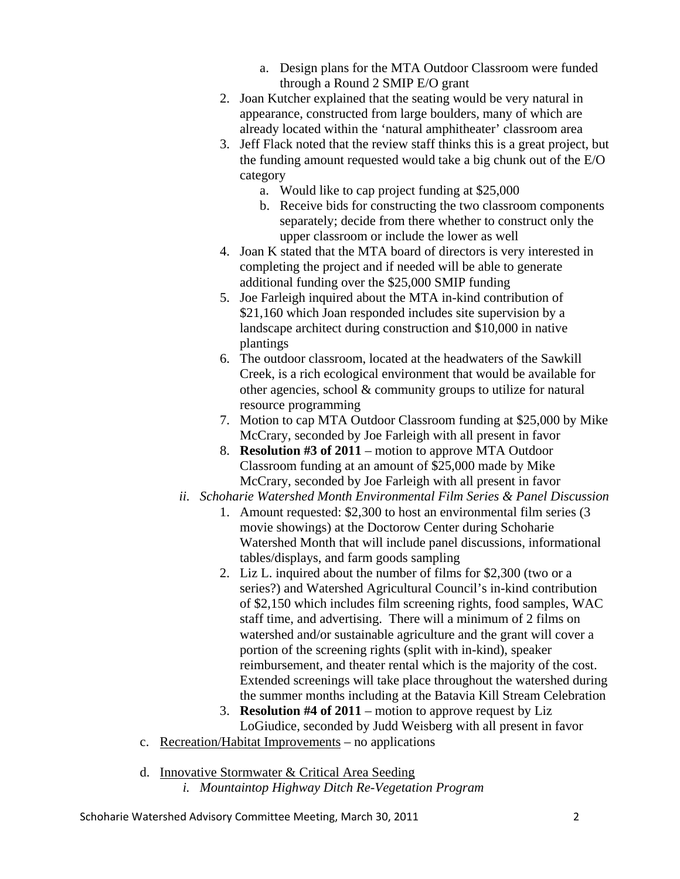- a. Design plans for the MTA Outdoor Classroom were funded through a Round 2 SMIP E/O grant
- 2. Joan Kutcher explained that the seating would be very natural in appearance, constructed from large boulders, many of which are already located within the 'natural amphitheater' classroom area
- 3. Jeff Flack noted that the review staff thinks this is a great project, but the funding amount requested would take a big chunk out of the E/O category
	- a. Would like to cap project funding at \$25,000
	- b. Receive bids for constructing the two classroom components separately; decide from there whether to construct only the upper classroom or include the lower as well
- 4. Joan K stated that the MTA board of directors is very interested in completing the project and if needed will be able to generate additional funding over the \$25,000 SMIP funding
- 5. Joe Farleigh inquired about the MTA in-kind contribution of \$21,160 which Joan responded includes site supervision by a landscape architect during construction and \$10,000 in native plantings
- 6. The outdoor classroom, located at the headwaters of the Sawkill Creek, is a rich ecological environment that would be available for other agencies, school & community groups to utilize for natural resource programming
- 7. Motion to cap MTA Outdoor Classroom funding at \$25,000 by Mike McCrary, seconded by Joe Farleigh with all present in favor
- 8. **Resolution #3 of 2011** motion to approve MTA Outdoor Classroom funding at an amount of \$25,000 made by Mike McCrary, seconded by Joe Farleigh with all present in favor
- *ii. Schoharie Watershed Month Environmental Film Series & Panel Discussion* 
	- 1. Amount requested: \$2,300 to host an environmental film series (3 movie showings) at the Doctorow Center during Schoharie Watershed Month that will include panel discussions, informational tables/displays, and farm goods sampling
	- 2. Liz L. inquired about the number of films for \$2,300 (two or a series?) and Watershed Agricultural Council's in-kind contribution of \$2,150 which includes film screening rights, food samples, WAC staff time, and advertising. There will a minimum of 2 films on watershed and/or sustainable agriculture and the grant will cover a portion of the screening rights (split with in-kind), speaker reimbursement, and theater rental which is the majority of the cost. Extended screenings will take place throughout the watershed during the summer months including at the Batavia Kill Stream Celebration
	- 3. **Resolution #4 of 2011** motion to approve request by Liz LoGiudice, seconded by Judd Weisberg with all present in favor
- c. Recreation/Habitat Improvements no applications
- d. Innovative Stormwater & Critical Area Seeding
	- *i. Mountaintop Highway Ditch Re-Vegetation Program*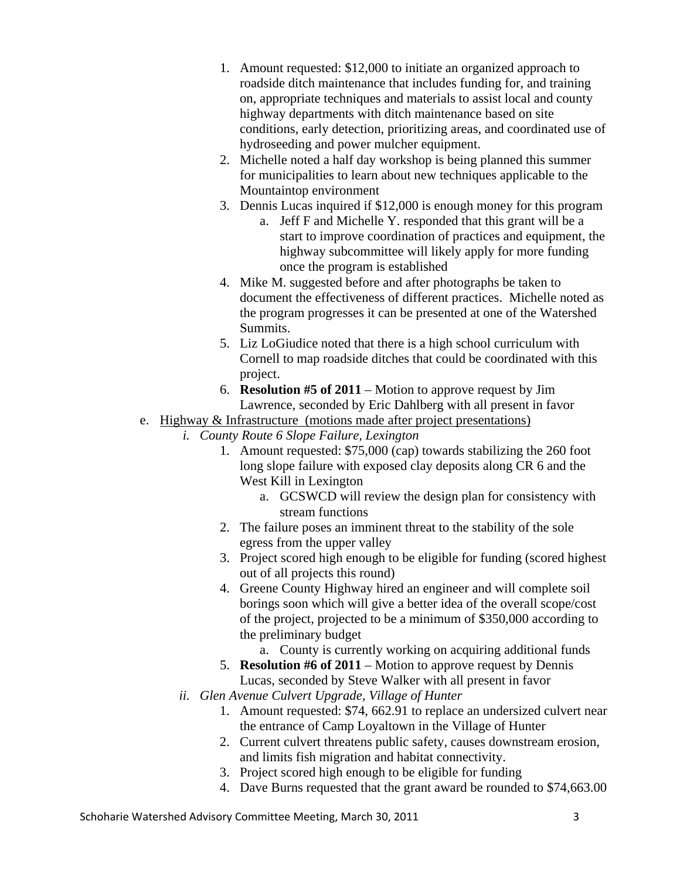- 1. Amount requested: \$12,000 to initiate an organized approach to roadside ditch maintenance that includes funding for, and training on, appropriate techniques and materials to assist local and county highway departments with ditch maintenance based on site conditions, early detection, prioritizing areas, and coordinated use of hydroseeding and power mulcher equipment.
- 2. Michelle noted a half day workshop is being planned this summer for municipalities to learn about new techniques applicable to the Mountaintop environment
- 3. Dennis Lucas inquired if \$12,000 is enough money for this program
	- a. Jeff F and Michelle Y. responded that this grant will be a start to improve coordination of practices and equipment, the highway subcommittee will likely apply for more funding once the program is established
- 4. Mike M. suggested before and after photographs be taken to document the effectiveness of different practices. Michelle noted as the program progresses it can be presented at one of the Watershed Summits.
- 5. Liz LoGiudice noted that there is a high school curriculum with Cornell to map roadside ditches that could be coordinated with this project.
- 6. **Resolution #5 of 2011** Motion to approve request by Jim Lawrence, seconded by Eric Dahlberg with all present in favor

## e. Highway & Infrastructure (motions made after project presentations)

- *i. County Route 6 Slope Failure, Lexington* 
	- 1. Amount requested: \$75,000 (cap) towards stabilizing the 260 foot long slope failure with exposed clay deposits along CR 6 and the West Kill in Lexington
		- a. GCSWCD will review the design plan for consistency with stream functions
	- 2. The failure poses an imminent threat to the stability of the sole egress from the upper valley
	- 3. Project scored high enough to be eligible for funding (scored highest out of all projects this round)
	- 4. Greene County Highway hired an engineer and will complete soil borings soon which will give a better idea of the overall scope/cost of the project, projected to be a minimum of \$350,000 according to the preliminary budget
		- a. County is currently working on acquiring additional funds
	- 5. **Resolution #6 of 2011** Motion to approve request by Dennis Lucas, seconded by Steve Walker with all present in favor
	- *ii. Glen Avenue Culvert Upgrade, Village of Hunter* 
		- 1. Amount requested: \$74, 662.91 to replace an undersized culvert near the entrance of Camp Loyaltown in the Village of Hunter
		- 2. Current culvert threatens public safety, causes downstream erosion, and limits fish migration and habitat connectivity.
		- 3. Project scored high enough to be eligible for funding
		- 4. Dave Burns requested that the grant award be rounded to \$74,663.00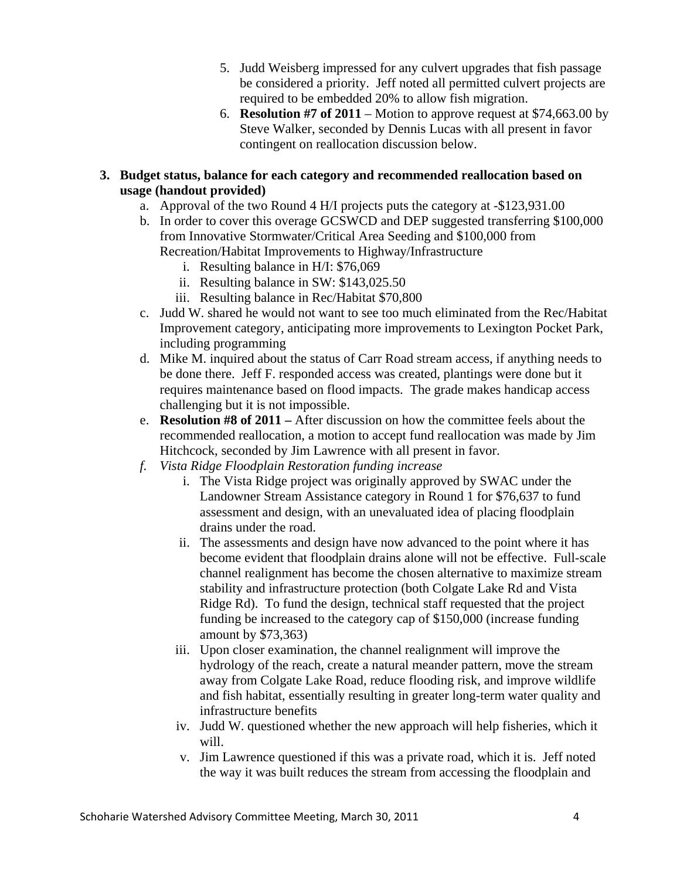- 5. Judd Weisberg impressed for any culvert upgrades that fish passage be considered a priority. Jeff noted all permitted culvert projects are required to be embedded 20% to allow fish migration.
- 6. **Resolution #7 of 2011** Motion to approve request at \$74,663.00 by Steve Walker, seconded by Dennis Lucas with all present in favor contingent on reallocation discussion below.
- **3. Budget status, balance for each category and recommended reallocation based on usage (handout provided)** 
	- a. Approval of the two Round 4 H/I projects puts the category at -\$123,931.00
	- b. In order to cover this overage GCSWCD and DEP suggested transferring \$100,000 from Innovative Stormwater/Critical Area Seeding and \$100,000 from Recreation/Habitat Improvements to Highway/Infrastructure
		- i. Resulting balance in H/I: \$76,069
		- ii. Resulting balance in SW: \$143,025.50
		- iii. Resulting balance in Rec/Habitat \$70,800
	- c. Judd W. shared he would not want to see too much eliminated from the Rec/Habitat Improvement category, anticipating more improvements to Lexington Pocket Park, including programming
	- d. Mike M. inquired about the status of Carr Road stream access, if anything needs to be done there. Jeff F. responded access was created, plantings were done but it requires maintenance based on flood impacts. The grade makes handicap access challenging but it is not impossible.
	- e. **Resolution #8 of 2011** After discussion on how the committee feels about the recommended reallocation, a motion to accept fund reallocation was made by Jim Hitchcock, seconded by Jim Lawrence with all present in favor.
	- *f. Vista Ridge Floodplain Restoration funding increase* 
		- i. The Vista Ridge project was originally approved by SWAC under the Landowner Stream Assistance category in Round 1 for \$76,637 to fund assessment and design, with an unevaluated idea of placing floodplain drains under the road.
		- ii. The assessments and design have now advanced to the point where it has become evident that floodplain drains alone will not be effective. Full-scale channel realignment has become the chosen alternative to maximize stream stability and infrastructure protection (both Colgate Lake Rd and Vista Ridge Rd). To fund the design, technical staff requested that the project funding be increased to the category cap of \$150,000 (increase funding amount by \$73,363)
		- iii. Upon closer examination, the channel realignment will improve the hydrology of the reach, create a natural meander pattern, move the stream away from Colgate Lake Road, reduce flooding risk, and improve wildlife and fish habitat, essentially resulting in greater long-term water quality and infrastructure benefits
		- iv. Judd W. questioned whether the new approach will help fisheries, which it will.
		- v. Jim Lawrence questioned if this was a private road, which it is. Jeff noted the way it was built reduces the stream from accessing the floodplain and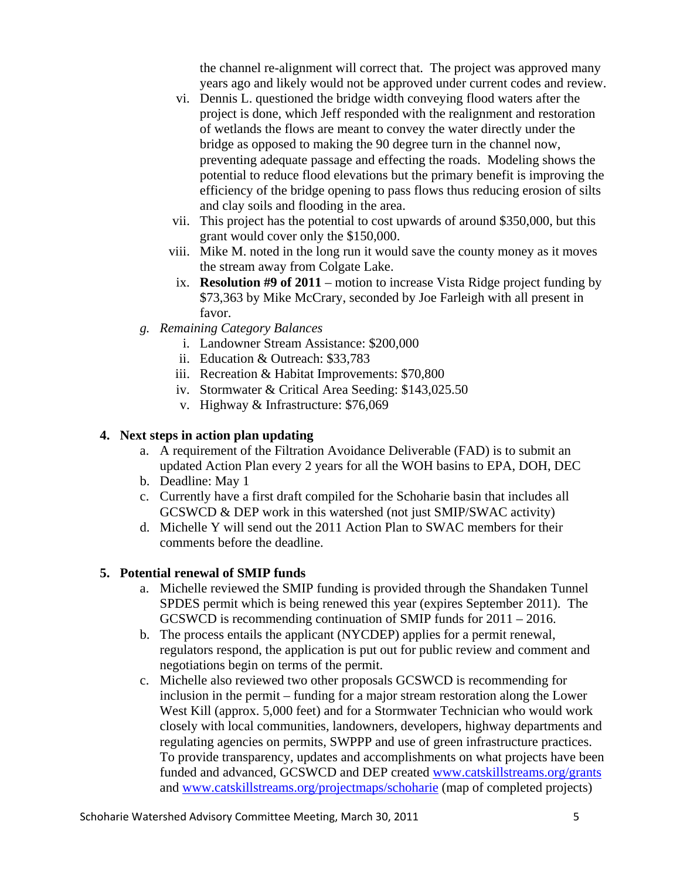the channel re-alignment will correct that. The project was approved many years ago and likely would not be approved under current codes and review.

- vi. Dennis L. questioned the bridge width conveying flood waters after the project is done, which Jeff responded with the realignment and restoration of wetlands the flows are meant to convey the water directly under the bridge as opposed to making the 90 degree turn in the channel now, preventing adequate passage and effecting the roads. Modeling shows the potential to reduce flood elevations but the primary benefit is improving the efficiency of the bridge opening to pass flows thus reducing erosion of silts and clay soils and flooding in the area.
- vii. This project has the potential to cost upwards of around \$350,000, but this grant would cover only the \$150,000.
- viii. Mike M. noted in the long run it would save the county money as it moves the stream away from Colgate Lake.
- ix. **Resolution #9 of 2011** motion to increase Vista Ridge project funding by \$73,363 by Mike McCrary, seconded by Joe Farleigh with all present in favor.
- *g. Remaining Category Balances* 
	- i. Landowner Stream Assistance: \$200,000
	- ii. Education & Outreach: \$33,783
	- iii. Recreation & Habitat Improvements: \$70,800
	- iv. Stormwater & Critical Area Seeding: \$143,025.50
	- v. Highway & Infrastructure: \$76,069

## **4. Next steps in action plan updating**

- a. A requirement of the Filtration Avoidance Deliverable (FAD) is to submit an updated Action Plan every 2 years for all the WOH basins to EPA, DOH, DEC
- b. Deadline: May 1
- c. Currently have a first draft compiled for the Schoharie basin that includes all GCSWCD & DEP work in this watershed (not just SMIP/SWAC activity)
- d. Michelle Y will send out the 2011 Action Plan to SWAC members for their comments before the deadline.

# **5. Potential renewal of SMIP funds**

- a. Michelle reviewed the SMIP funding is provided through the Shandaken Tunnel SPDES permit which is being renewed this year (expires September 2011). The GCSWCD is recommending continuation of SMIP funds for 2011 – 2016.
- b. The process entails the applicant (NYCDEP) applies for a permit renewal, regulators respond, the application is put out for public review and comment and negotiations begin on terms of the permit.
- c. Michelle also reviewed two other proposals GCSWCD is recommending for inclusion in the permit – funding for a major stream restoration along the Lower West Kill (approx. 5,000 feet) and for a Stormwater Technician who would work closely with local communities, landowners, developers, highway departments and regulating agencies on permits, SWPPP and use of green infrastructure practices. To provide transparency, updates and accomplishments on what projects have been funded and advanced, GCSWCD and DEP created www.catskillstreams.org/grants and www.catskillstreams.org/projectmaps/schoharie (map of completed projects)